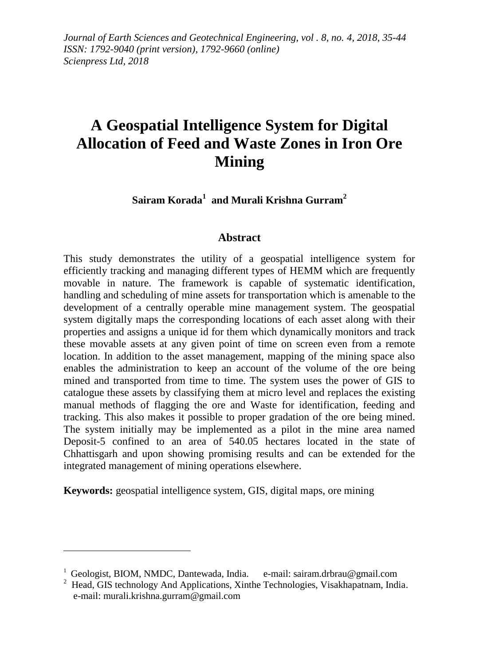*Journal of Earth Sciences and Geotechnical Engineering, vol . 8, no. 4, 2018, 35-44 ISSN: 1792-9040 (print version), 1792-9660 (online) Scienpress Ltd, 2018*

# **A Geospatial Intelligence System for Digital Allocation of Feed and Waste Zones in Iron Ore Mining**

**Sairam Korada<sup>1</sup> and Murali Krishna Gurram<sup>2</sup>**

#### **Abstract**

This study demonstrates the utility of a geospatial intelligence system for efficiently tracking and managing different types of HEMM which are frequently movable in nature. The framework is capable of systematic identification, handling and scheduling of mine assets for transportation which is amenable to the development of a centrally operable mine management system. The geospatial system digitally maps the corresponding locations of each asset along with their properties and assigns a unique id for them which dynamically monitors and track these movable assets at any given point of time on screen even from a remote location. In addition to the asset management, mapping of the mining space also enables the administration to keep an account of the volume of the ore being mined and transported from time to time. The system uses the power of GIS to catalogue these assets by classifying them at micro level and replaces the existing manual methods of flagging the ore and Waste for identification, feeding and tracking. This also makes it possible to proper gradation of the ore being mined. The system initially may be implemented as a pilot in the mine area named Deposit-5 confined to an area of 540.05 hectares located in the state of Chhattisgarh and upon showing promising results and can be extended for the integrated management of mining operations elsewhere.

**Keywords:** geospatial intelligence system, GIS, digital maps, ore mining

1

<sup>&</sup>lt;sup>1</sup> Geologist, BIOM, NMDC, Dantewada, India. e-mail: sairam.drbrau@gmail.com

<sup>2</sup> Head, GIS technology And Applications, Xinthe Technologies, Visakhapatnam, India. e-mail: murali.krishna.gurram@gmail.com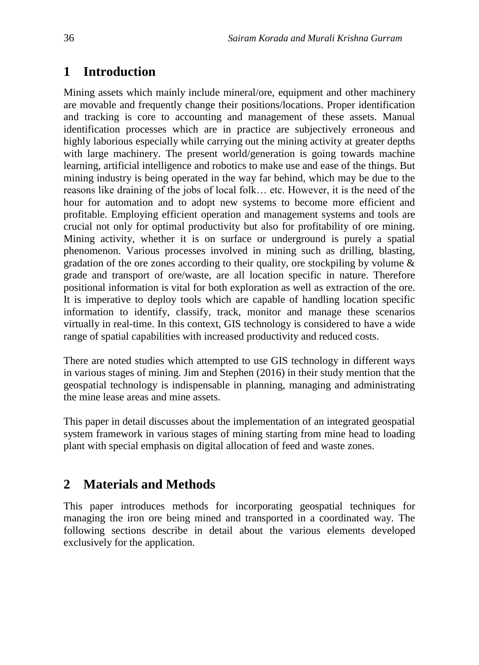## **1 Introduction**

Mining assets which mainly include mineral/ore, equipment and other machinery are movable and frequently change their positions/locations. Proper identification and tracking is core to accounting and management of these assets. Manual identification processes which are in practice are subjectively erroneous and highly laborious especially while carrying out the mining activity at greater depths with large machinery. The present world/generation is going towards machine learning, artificial intelligence and robotics to make use and ease of the things. But mining industry is being operated in the way far behind, which may be due to the reasons like draining of the jobs of local folk… etc. However, it is the need of the hour for automation and to adopt new systems to become more efficient and profitable. Employing efficient operation and management systems and tools are crucial not only for optimal productivity but also for profitability of ore mining. Mining activity, whether it is on surface or underground is purely a spatial phenomenon. Various processes involved in mining such as drilling, blasting, gradation of the ore zones according to their quality, ore stockpiling by volume  $\&$ grade and transport of ore/waste, are all location specific in nature. Therefore positional information is vital for both exploration as well as extraction of the ore. It is imperative to deploy tools which are capable of handling location specific information to identify, classify, track, monitor and manage these scenarios virtually in real-time. In this context, GIS technology is considered to have a wide range of spatial capabilities with increased productivity and reduced costs.

There are noted studies which attempted to use GIS technology in different ways in various stages of mining. Jim and Stephen (2016) in their study mention that the geospatial technology is indispensable in planning, managing and administrating the mine lease areas and mine assets.

This paper in detail discusses about the implementation of an integrated geospatial system framework in various stages of mining starting from mine head to loading plant with special emphasis on digital allocation of feed and waste zones.

# **2 Materials and Methods**

This paper introduces methods for incorporating geospatial techniques for managing the iron ore being mined and transported in a coordinated way. The following sections describe in detail about the various elements developed exclusively for the application.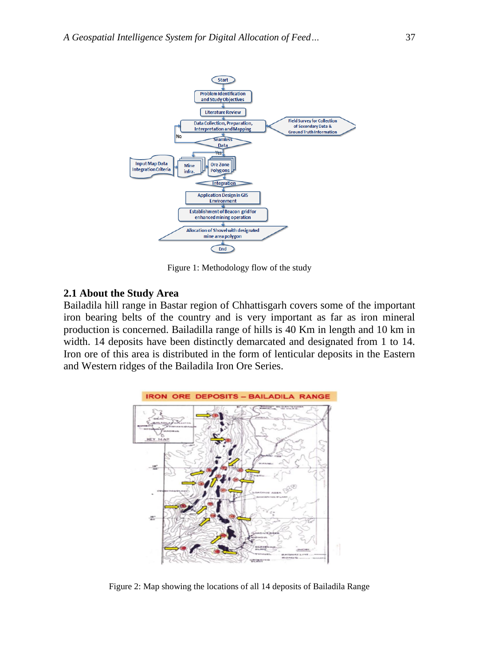

Figure 1: Methodology flow of the study

#### **2.1 About the Study Area**

Bailadila hill range in Bastar region of Chhattisgarh covers some of the important iron bearing belts of the country and is very important as far as iron mineral production is concerned. Bailadilla range of hills is 40 Km in length and 10 km in width. 14 deposits have been distinctly demarcated and designated from 1 to 14. Iron ore of this area is distributed in the form of lenticular deposits in the Eastern and Western ridges of the Bailadila Iron Ore Series.



Figure 2: Map showing the locations of all 14 deposits of Bailadila Range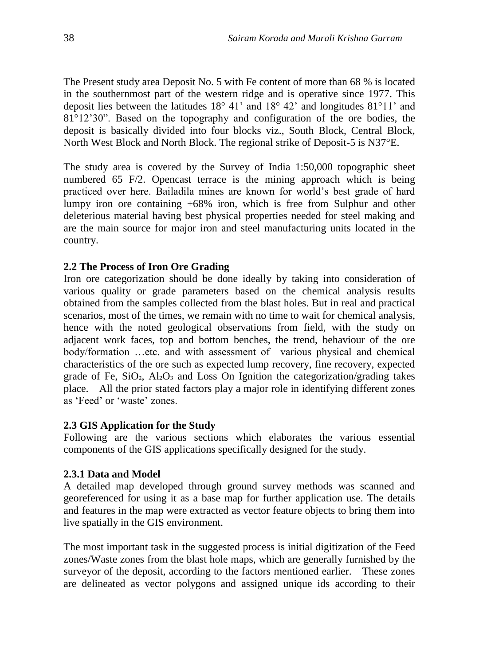The Present study area Deposit No. 5 with Fe content of more than 68 % is located in the southernmost part of the western ridge and is operative since 1977. This deposit lies between the latitudes 18° 41' and 18° 42' and longitudes 81°11' and 81°12'30". Based on the topography and configuration of the ore bodies, the deposit is basically divided into four blocks viz., South Block, Central Block, North West Block and North Block. The regional strike of Deposit-5 is N37°E.

The study area is covered by the Survey of India 1:50,000 topographic sheet numbered 65 F/2. Opencast terrace is the mining approach which is being practiced over here. Bailadila mines are known for world's best grade of hard lumpy iron ore containing +68% iron, which is free from Sulphur and other deleterious material having best physical properties needed for steel making and are the main source for major iron and steel manufacturing units located in the country.

#### **2.2 The Process of Iron Ore Grading**

Iron ore categorization should be done ideally by taking into consideration of various quality or grade parameters based on the chemical analysis results obtained from the samples collected from the blast holes. But in real and practical scenarios, most of the times, we remain with no time to wait for chemical analysis, hence with the noted geological observations from field, with the study on adjacent work faces, top and bottom benches, the trend, behaviour of the ore body/formation …etc. and with assessment of various physical and chemical characteristics of the ore such as expected lump recovery, fine recovery, expected grade of Fe,  $SiO<sub>2</sub>$ ,  $Al<sub>2</sub>O<sub>3</sub>$  and Loss On Ignition the categorization/grading takes place. All the prior stated factors play a major role in identifying different zones as 'Feed' or 'waste' zones.

## **2.3 GIS Application for the Study**

Following are the various sections which elaborates the various essential components of the GIS applications specifically designed for the study.

#### **2.3.1 Data and Model**

A detailed map developed through ground survey methods was scanned and georeferenced for using it as a base map for further application use. The details and features in the map were extracted as vector feature objects to bring them into live spatially in the GIS environment.

The most important task in the suggested process is initial digitization of the Feed zones/Waste zones from the blast hole maps, which are generally furnished by the surveyor of the deposit, according to the factors mentioned earlier. These zones are delineated as vector polygons and assigned unique ids according to their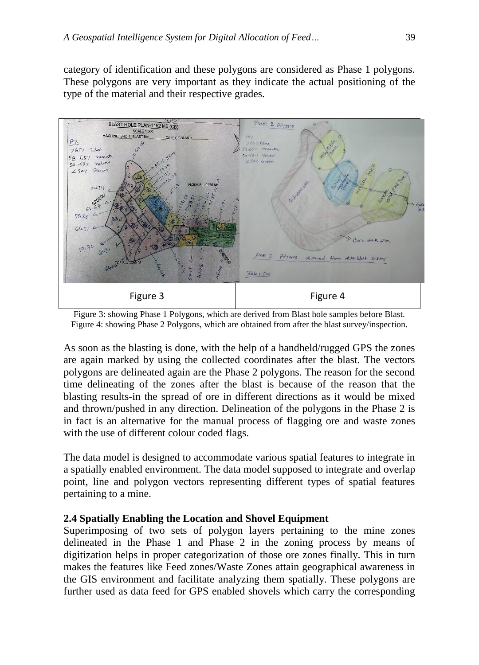category of identification and these polygons are considered as Phase 1 polygons. These polygons are very important as they indicate the actual positioning of the type of the material and their respective grades.



Figure 3: showing Phase 1 Polygons, which are derived from Blast hole samples before Blast. Figure 4: showing Phase 2 Polygons, which are obtained from after the blast survey/inspection.

As soon as the blasting is done, with the help of a handheld/rugged GPS the zones are again marked by using the collected coordinates after the blast. The vectors polygons are delineated again are the Phase 2 polygons. The reason for the second time delineating of the zones after the blast is because of the reason that the blasting results-in the spread of ore in different directions as it would be mixed and thrown/pushed in any direction. Delineation of the polygons in the Phase 2 is in fact is an alternative for the manual process of flagging ore and waste zones with the use of different colour coded flags.

The data model is designed to accommodate various spatial features to integrate in a spatially enabled environment. The data model supposed to integrate and overlap point, line and polygon vectors representing different types of spatial features pertaining to a mine.

## **2.4 Spatially Enabling the Location and Shovel Equipment**

Superimposing of two sets of polygon layers pertaining to the mine zones delineated in the Phase 1 and Phase 2 in the zoning process by means of digitization helps in proper categorization of those ore zones finally. This in turn makes the features like Feed zones/Waste Zones attain geographical awareness in the GIS environment and facilitate analyzing them spatially. These polygons are further used as data feed for GPS enabled shovels which carry the corresponding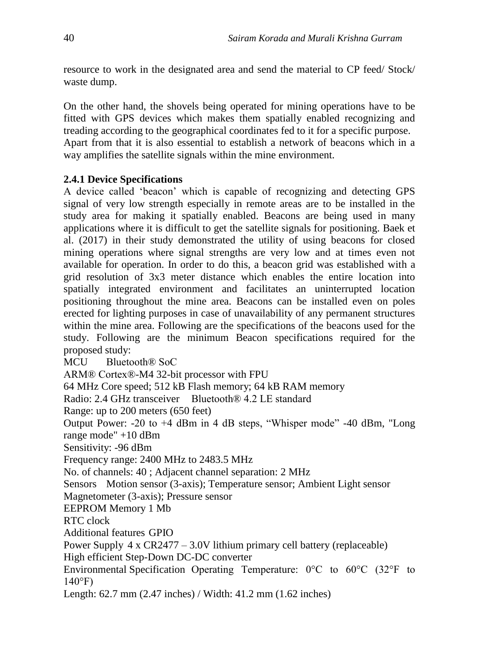resource to work in the designated area and send the material to CP feed/ Stock/ waste dump.

On the other hand, the shovels being operated for mining operations have to be fitted with GPS devices which makes them spatially enabled recognizing and treading according to the geographical coordinates fed to it for a specific purpose. Apart from that it is also essential to establish a network of beacons which in a way amplifies the satellite signals within the mine environment.

## **2.4.1 Device Specifications**

A device called 'beacon' which is capable of recognizing and detecting GPS signal of very low strength especially in remote areas are to be installed in the study area for making it spatially enabled. Beacons are being used in many applications where it is difficult to get the satellite signals for positioning. Baek et al. (2017) in their study demonstrated the utility of using beacons for closed mining operations where signal strengths are very low and at times even not available for operation. In order to do this, a beacon grid was established with a grid resolution of 3x3 meter distance which enables the entire location into spatially integrated environment and facilitates an uninterrupted location positioning throughout the mine area. Beacons can be installed even on poles erected for lighting purposes in case of unavailability of any permanent structures within the mine area. Following are the specifications of the beacons used for the study. Following are the minimum Beacon specifications required for the proposed study:

MCU Bluetooth® SoC

ARM® Cortex®-M4 32-bit processor with FPU

64 MHz Core speed; 512 kB Flash memory; 64 kB RAM memory

Radio: 2.4 GHz transceiver Bluetooth® 4.2 LE standard

Range: up to 200 meters (650 feet)

Output Power: -20 to +4 dBm in 4 dB steps, "Whisper mode" -40 dBm, "Long range mode" +10 dBm

Sensitivity: -96 dBm

Frequency range: 2400 MHz to 2483.5 MHz

No. of channels: 40 ; Adjacent channel separation: 2 MHz

Sensors Motion sensor (3-axis); Temperature sensor; Ambient Light sensor

Magnetometer (3-axis); Pressure sensor

EEPROM Memory 1 Mb

RTC clock

Additional features GPIO

Power Supply 4 x CR2477 – 3.0V lithium primary cell battery (replaceable)

High efficient Step-Down DC-DC converter

Environmental Specification Operating Temperature: 0°C to 60°C (32°F to  $140^{\circ}$ F)

Length: 62.7 mm (2.47 inches) / Width: 41.2 mm (1.62 inches)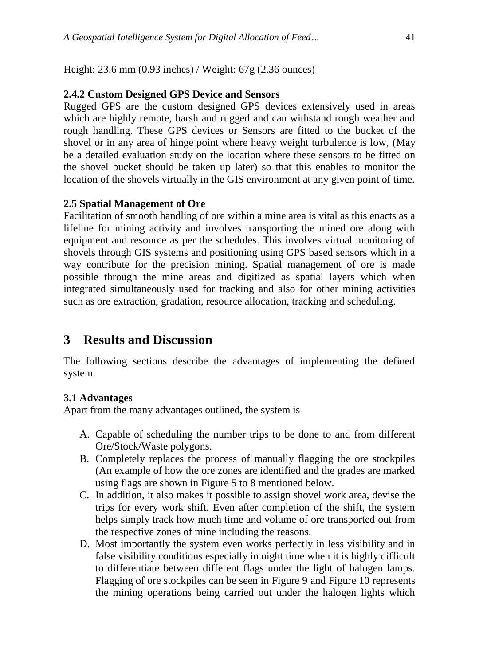Height: 23.6 mm (0.93 inches) / Weight: 67g (2.36 ounces)

#### **2.4.2 Custom Designed GPS Device and Sensors**

Rugged GPS are the custom designed GPS devices extensively used in areas which are highly remote, harsh and rugged and can withstand rough weather and rough handling. These GPS devices or Sensors are fitted to the bucket of the shovel or in any area of hinge point where heavy weight turbulence is low, (May be a detailed evaluation study on the location where these sensors to be fitted on the shovel bucket should be taken up later) so that this enables to monitor the location of the shovels virtually in the GIS environment at any given point of time.

#### **2.5 Spatial Management of Ore**

Facilitation of smooth handling of ore within a mine area is vital as this enacts as a lifeline for mining activity and involves transporting the mined ore along with equipment and resource as per the schedules. This involves virtual monitoring of shovels through GIS systems and positioning using GPS based sensors which in a way contribute for the precision mining. Spatial management of ore is made possible through the mine areas and digitized as spatial layers which when integrated simultaneously used for tracking and also for other mining activities such as ore extraction, gradation, resource allocation, tracking and scheduling.

# **3 Results and Discussion**

The following sections describe the advantages of implementing the defined system.

## **3.1 Advantages**

Apart from the many advantages outlined, the system is

- A. Capable of scheduling the number trips to be done to and from different Ore/Stock/Waste polygons.
- B. Completely replaces the process of manually flagging the ore stockpiles (An example of how the ore zones are identified and the grades are marked using flags are shown in Figure 5 to 8 mentioned below.
- C. In addition, it also makes it possible to assign shovel work area, devise the trips for every work shift. Even after completion of the shift, the system helps simply track how much time and volume of ore transported out from the respective zones of mine including the reasons.
- D. Most importantly the system even works perfectly in less visibility and in false visibility conditions especially in night time when it is highly difficult to differentiate between different flags under the light of halogen lamps. Flagging of ore stockpiles can be seen in Figure 9 and Figure 10 represents the mining operations being carried out under the halogen lights which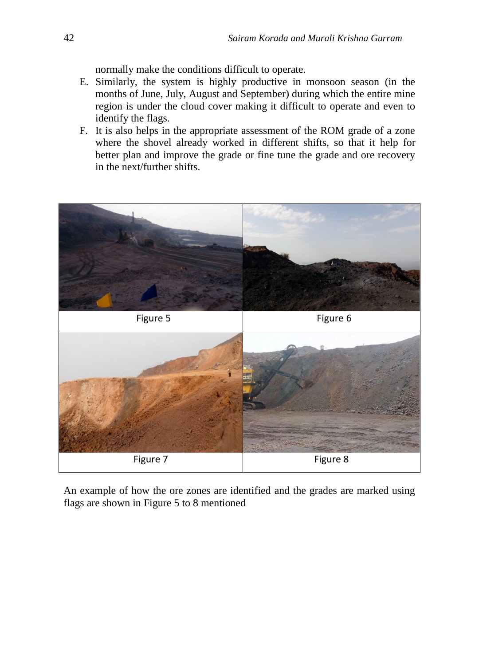normally make the conditions difficult to operate.

- E. Similarly, the system is highly productive in monsoon season (in the months of June, July, August and September) during which the entire mine region is under the cloud cover making it difficult to operate and even to identify the flags.
- F. It is also helps in the appropriate assessment of the ROM grade of a zone where the shovel already worked in different shifts, so that it help for better plan and improve the grade or fine tune the grade and ore recovery in the next/further shifts.



An example of how the ore zones are identified and the grades are marked using flags are shown in Figure 5 to 8 mentioned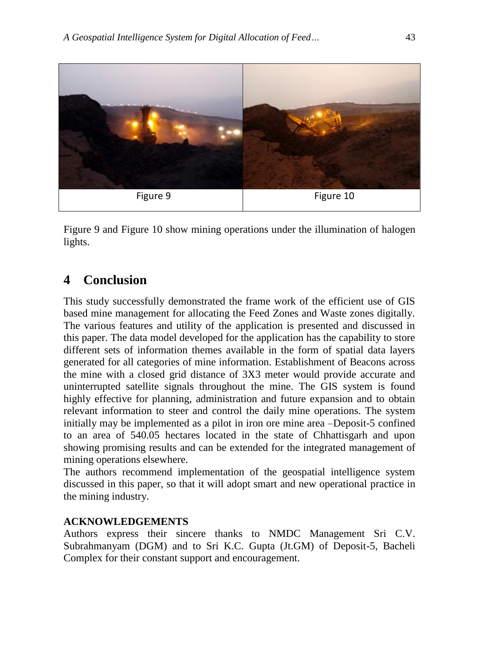

Figure 9 and Figure 10 show mining operations under the illumination of halogen lights.

## **4 Conclusion**

This study successfully demonstrated the frame work of the efficient use of GIS based mine management for allocating the Feed Zones and Waste zones digitally. The various features and utility of the application is presented and discussed in this paper. The data model developed for the application has the capability to store different sets of information themes available in the form of spatial data layers generated for all categories of mine information. Establishment of Beacons across the mine with a closed grid distance of 3X3 meter would provide accurate and uninterrupted satellite signals throughout the mine. The GIS system is found highly effective for planning, administration and future expansion and to obtain relevant information to steer and control the daily mine operations. The system initially may be implemented as a pilot in iron ore mine area –Deposit-5 confined to an area of 540.05 hectares located in the state of Chhattisgarh and upon showing promising results and can be extended for the integrated management of mining operations elsewhere.

The authors recommend implementation of the geospatial intelligence system discussed in this paper, so that it will adopt smart and new operational practice in the mining industry.

#### **ACKNOWLEDGEMENTS**

Authors express their sincere thanks to NMDC Management Sri C.V. Subrahmanyam (DGM) and to Sri K.C. Gupta (Jt.GM) of Deposit-5, Bacheli Complex for their constant support and encouragement.